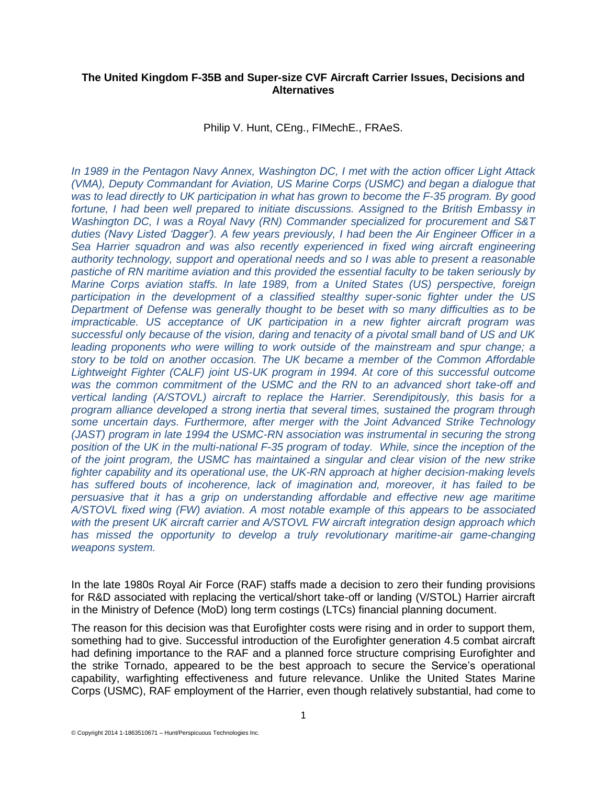## **The United Kingdom F-35B and Super-size CVF Aircraft Carrier Issues, Decisions and Alternatives**

Philip V. Hunt, CEng., FIMechE., FRAeS.

*In 1989 in the Pentagon Navy Annex, Washington DC, I met with the action officer Light Attack (VMA), Deputy Commandant for Aviation, US Marine Corps (USMC) and began a dialogue that was to lead directly to UK participation in what has grown to become the F-35 program. By good fortune, I had been well prepared to initiate discussions. Assigned to the British Embassy in Washington DC, I was a Royal Navy (RN) Commander specialized for procurement and S&T duties (Navy Listed 'Dagger'). A few years previously, I had been the Air Engineer Officer in a Sea Harrier squadron and was also recently experienced in fixed wing aircraft engineering authority technology, support and operational needs and so I was able to present a reasonable pastiche of RN maritime aviation and this provided the essential faculty to be taken seriously by Marine Corps aviation staffs. In late 1989, from a United States (US) perspective, foreign participation in the development of a classified stealthy super-sonic fighter under the US Department of Defense was generally thought to be beset with so many difficulties as to be impracticable. US acceptance of UK participation in a new fighter aircraft program was successful only because of the vision, daring and tenacity of a pivotal small band of US and UK leading proponents who were willing to work outside of the mainstream and spur change; a story to be told on another occasion. The UK became a member of the Common Affordable Lightweight Fighter (CALF) joint US-UK program in 1994. At core of this successful outcome was the common commitment of the USMC and the RN to an advanced short take-off and vertical landing (A/STOVL) aircraft to replace the Harrier. Serendipitously, this basis for a program alliance developed a strong inertia that several times, sustained the program through some uncertain days. Furthermore, after merger with the Joint Advanced Strike Technology (JAST) program in late 1994 the USMC-RN association was instrumental in securing the strong position of the UK in the multi-national F-35 program of today. While, since the inception of the of the joint program, the USMC has maintained a singular and clear vision of the new strike fighter capability and its operational use, the UK-RN approach at higher decision-making levels has suffered bouts of incoherence, lack of imagination and, moreover, it has failed to be persuasive that it has a grip on understanding affordable and effective new age maritime A/STOVL fixed wing (FW) aviation. A most notable example of this appears to be associated with the present UK aircraft carrier and A/STOVL FW aircraft integration design approach which has missed the opportunity to develop a truly revolutionary maritime-air game-changing weapons system.* 

In the late 1980s Royal Air Force (RAF) staffs made a decision to zero their funding provisions for R&D associated with replacing the vertical/short take-off or landing (V/STOL) Harrier aircraft in the Ministry of Defence (MoD) long term costings (LTCs) financial planning document.

The reason for this decision was that Eurofighter costs were rising and in order to support them, something had to give. Successful introduction of the Eurofighter generation 4.5 combat aircraft had defining importance to the RAF and a planned force structure comprising Eurofighter and the strike Tornado, appeared to be the best approach to secure the Service's operational capability, warfighting effectiveness and future relevance. Unlike the United States Marine Corps (USMC), RAF employment of the Harrier, even though relatively substantial, had come to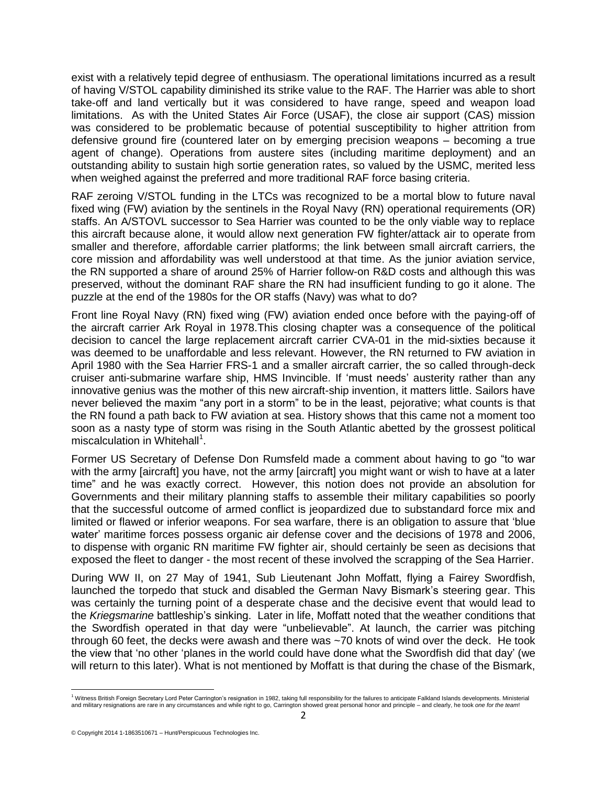exist with a relatively tepid degree of enthusiasm. The operational limitations incurred as a result of having V/STOL capability diminished its strike value to the RAF. The Harrier was able to short take-off and land vertically but it was considered to have range, speed and weapon load limitations. As with the United States Air Force (USAF), the close air support (CAS) mission was considered to be problematic because of potential susceptibility to higher attrition from defensive ground fire (countered later on by emerging precision weapons – becoming a true agent of change). Operations from austere sites (including maritime deployment) and an outstanding ability to sustain high sortie generation rates, so valued by the USMC, merited less when weighed against the preferred and more traditional RAF force basing criteria.

RAF zeroing V/STOL funding in the LTCs was recognized to be a mortal blow to future naval fixed wing (FW) aviation by the sentinels in the Royal Navy (RN) operational requirements (OR) staffs. An A/STOVL successor to Sea Harrier was counted to be the only viable way to replace this aircraft because alone, it would allow next generation FW fighter/attack air to operate from smaller and therefore, affordable carrier platforms; the link between small aircraft carriers, the core mission and affordability was well understood at that time. As the junior aviation service, the RN supported a share of around 25% of Harrier follow-on R&D costs and although this was preserved, without the dominant RAF share the RN had insufficient funding to go it alone. The puzzle at the end of the 1980s for the OR staffs (Navy) was what to do?

Front line Royal Navy (RN) fixed wing (FW) aviation ended once before with the paying-off of the aircraft carrier Ark Royal in 1978.This closing chapter was a consequence of the political decision to cancel the large replacement aircraft carrier CVA-01 in the mid-sixties because it was deemed to be unaffordable and less relevant. However, the RN returned to FW aviation in April 1980 with the Sea Harrier FRS-1 and a smaller aircraft carrier, the so called through-deck cruiser anti-submarine warfare ship, HMS Invincible. If 'must needs' austerity rather than any innovative genius was the mother of this new aircraft-ship invention, it matters little. Sailors have never believed the maxim "any port in a storm" to be in the least, pejorative; what counts is that the RN found a path back to FW aviation at sea. History shows that this came not a moment too soon as a nasty type of storm was rising in the South Atlantic abetted by the grossest political miscalculation in Whitehall<sup>1</sup>.

Former US Secretary of Defense Don Rumsfeld made a comment about having to go "to war with the army [aircraft] you have, not the army [aircraft] you might want or wish to have at a later time" and he was exactly correct. However, this notion does not provide an absolution for Governments and their military planning staffs to assemble their military capabilities so poorly that the successful outcome of armed conflict is jeopardized due to substandard force mix and limited or flawed or inferior weapons. For sea warfare, there is an obligation to assure that 'blue water' maritime forces possess organic air defense cover and the decisions of 1978 and 2006, to dispense with organic RN maritime FW fighter air, should certainly be seen as decisions that exposed the fleet to danger - the most recent of these involved the scrapping of the Sea Harrier.

During WW II, on 27 May of 1941, Sub Lieutenant John Moffatt, flying a Fairey Swordfish, launched the torpedo that stuck and disabled the German Navy Bismark's steering gear. This was certainly the turning point of a desperate chase and the decisive event that would lead to the *Kriegsmarine* battleship's sinking. Later in life, Moffatt noted that the weather conditions that the Swordfish operated in that day were "unbelievable". At launch, the carrier was pitching through 60 feet, the decks were awash and there was ~70 knots of wind over the deck. He took the view that 'no other 'planes in the world could have done what the Swordfish did that day' (we will return to this later). What is not mentioned by Moffatt is that during the chase of the Bismark,

<sup>&</sup>lt;sup>1</sup><br>Witness British Foreign Secretary Lord Peter Carrington's resignation in 1982, taking full responsibility for the failures to anticipate Falkland Islands developments. Ministerial and military resignations are rare in any circumstances and while right to go, Carrington showed great personal honor and principle – and clearly, he took *one for the team*!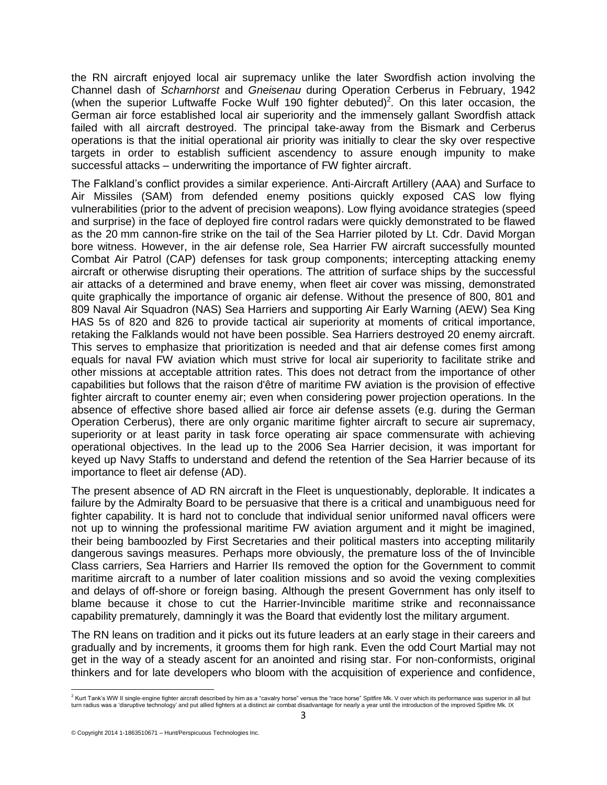the RN aircraft enjoyed local air supremacy unlike the later Swordfish action involving the Channel dash of *Scharnhorst* and *Gneisenau* during Operation Cerberus in February, 1942 (when the superior Luftwaffe Focke Wulf 190 fighter debuted)<sup>2</sup>. On this later occasion, the German air force established local air superiority and the immensely gallant Swordfish attack failed with all aircraft destroyed. The principal take-away from the Bismark and Cerberus operations is that the initial operational air priority was initially to clear the sky over respective targets in order to establish sufficient ascendency to assure enough impunity to make successful attacks – underwriting the importance of FW fighter aircraft.

The Falkland's conflict provides a similar experience. Anti-Aircraft Artillery (AAA) and Surface to Air Missiles (SAM) from defended enemy positions quickly exposed CAS low flying vulnerabilities (prior to the advent of precision weapons). Low flying avoidance strategies (speed and surprise) in the face of deployed fire control radars were quickly demonstrated to be flawed as the 20 mm cannon-fire strike on the tail of the Sea Harrier piloted by Lt. Cdr. David Morgan bore witness. However, in the air defense role, Sea Harrier FW aircraft successfully mounted Combat Air Patrol (CAP) defenses for task group components; intercepting attacking enemy aircraft or otherwise disrupting their operations. The attrition of surface ships by the successful air attacks of a determined and brave enemy, when fleet air cover was missing, demonstrated quite graphically the importance of organic air defense. Without the presence of 800, 801 and 809 Naval Air Squadron (NAS) Sea Harriers and supporting Air Early Warning (AEW) Sea King HAS 5s of 820 and 826 to provide tactical air superiority at moments of critical importance, retaking the Falklands would not have been possible. Sea Harriers destroyed 20 enemy aircraft. This serves to emphasize that prioritization is needed and that air defense comes first among equals for naval FW aviation which must strive for local air superiority to facilitate strike and other missions at acceptable attrition rates. This does not detract from the importance of other capabilities but follows that the raison d'être of maritime FW aviation is the provision of effective fighter aircraft to counter enemy air; even when considering power projection operations. In the absence of effective shore based allied air force air defense assets (e.g. during the German Operation Cerberus), there are only organic maritime fighter aircraft to secure air supremacy, superiority or at least parity in task force operating air space commensurate with achieving operational objectives. In the lead up to the 2006 Sea Harrier decision, it was important for keyed up Navy Staffs to understand and defend the retention of the Sea Harrier because of its importance to fleet air defense (AD).

The present absence of AD RN aircraft in the Fleet is unquestionably, deplorable. It indicates a failure by the Admiralty Board to be persuasive that there is a critical and unambiguous need for fighter capability. It is hard not to conclude that individual senior uniformed naval officers were not up to winning the professional maritime FW aviation argument and it might be imagined, their being bamboozled by First Secretaries and their political masters into accepting militarily dangerous savings measures. Perhaps more obviously, the premature loss of the of Invincible Class carriers, Sea Harriers and Harrier IIs removed the option for the Government to commit maritime aircraft to a number of later coalition missions and so avoid the vexing complexities and delays of off-shore or foreign basing. Although the present Government has only itself to blame because it chose to cut the Harrier-Invincible maritime strike and reconnaissance capability prematurely, damningly it was the Board that evidently lost the military argument.

The RN leans on tradition and it picks out its future leaders at an early stage in their careers and gradually and by increments, it grooms them for high rank. Even the odd Court Martial may not get in the way of a steady ascent for an anointed and rising star. For non-conformists, original thinkers and for late developers who bloom with the acquisition of experience and confidence,

 <sup>2</sup> Kurt Tank's WW II single-engin[e fighter aircraft](http://en.wikipedia.org/wiki/Fighter_aircraft) described by him as a "cavalry horse" versus the "race horse[" Spitfire Mk. V](http://en.wikipedia.org/wiki/Supermarine_Spitfire_(early_Merlin_powered_variants)#Mk_V_.28Types_331.2C_349_.26_352.29) over which its performance was superior in all but turn radius was a 'disruptive technology' and put allied fighters at a distinct air combat disadvantage for nearly a year until the introduction of the improved Spitfire Mk. IX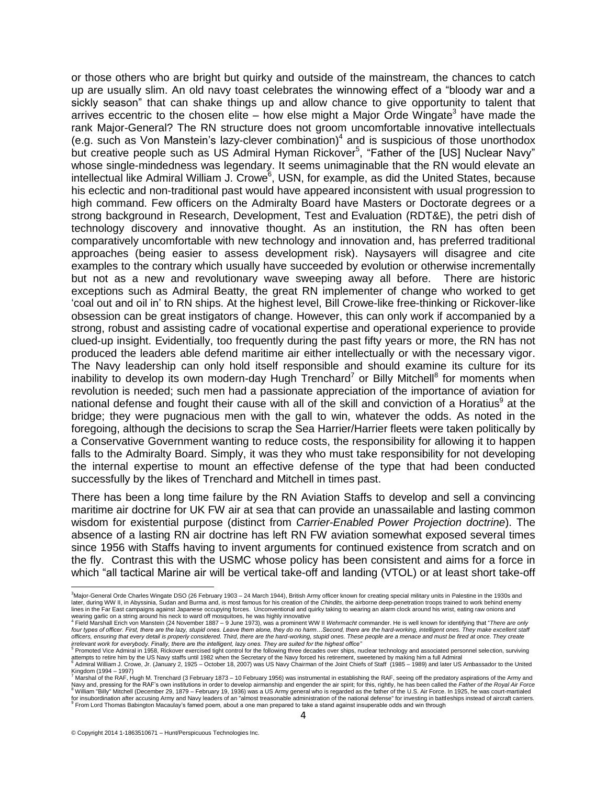or those others who are bright but quirky and outside of the mainstream, the chances to catch up are usually slim. An old navy toast celebrates the winnowing effect of a "bloody war and a sickly season" that can shake things up and allow chance to give opportunity to talent that arrives eccentric to the chosen elite  $-$  how else might a Major Orde Wingate<sup>3</sup> have made the rank Major-General? The RN structure does not groom uncomfortable innovative intellectuals (e.g. such as Von Manstein's lazy-clever combination)<sup>4</sup> and is suspicious of those unorthodox but creative people such as US Admiral Hyman Rickover<sup>5</sup>, "Father of the [US] Nuclear Navy" whose single-mindedness was legendary. It seems unimaginable that the RN would elevate an intellectual like Admiral William J. Crowe<sup>6</sup>, USN, for example, as did the United States, because his eclectic and non-traditional past would have appeared inconsistent with usual progression to high command. Few officers on the Admiralty Board have Masters or Doctorate degrees or a strong background in Research, Development, Test and Evaluation (RDT&E), the petri dish of technology discovery and innovative thought. As an institution, the RN has often been comparatively uncomfortable with new technology and innovation and, has preferred traditional approaches (being easier to assess development risk). Naysayers will disagree and cite examples to the contrary which usually have succeeded by evolution or otherwise incrementally but not as a new and revolutionary wave sweeping away all before. There are historic exceptions such as Admiral Beatty, the great RN implementer of change who worked to get 'coal out and oil in' to RN ships. At the highest level, Bill Crowe-like free-thinking or Rickover-like obsession can be great instigators of change. However, this can only work if accompanied by a strong, robust and assisting cadre of vocational expertise and operational experience to provide clued-up insight. Evidentially, too frequently during the past fifty years or more, the RN has not produced the leaders able defend maritime air either intellectually or with the necessary vigor. The Navy leadership can only hold itself responsible and should examine its culture for its inability to develop its own modern-day Hugh Trenchard<sup>7</sup> or Billy Mitchell<sup>8</sup> for moments when revolution is needed; such men had a passionate appreciation of the importance of aviation for national defense and fought their cause with all of the skill and conviction of a Horatius<sup>9</sup> at the bridge; they were pugnacious men with the gall to win, whatever the odds. As noted in the foregoing, although the decisions to scrap the Sea Harrier/Harrier fleets were taken politically by a Conservative Government wanting to reduce costs, the responsibility for allowing it to happen falls to the Admiralty Board. Simply, it was they who must take responsibility for not developing the internal expertise to mount an effective defense of the type that had been conducted successfully by the likes of Trenchard and Mitchell in times past.

There has been a long time failure by the RN Aviation Staffs to develop and sell a convincing maritime air doctrine for UK FW air at sea that can provide an unassailable and lasting common wisdom for existential purpose (distinct from *Carrier-Enabled Power Projection doctrine*). The absence of a lasting RN air doctrine has left RN FW aviation somewhat exposed several times since 1956 with Staffs having to invent arguments for continued existence from scratch and on the fly. Contrast this with the USMC whose policy has been consistent and aims for a force in which "all tactical Marine air will be vertical take-off and landing (VTOL) or at least short take-off

 <sup>3</sup>Major-General Orde Charles Wingate DSO (26 February 1903 – 24 March 1944), British Army officer known for creating special military units i[n Palestine](http://en.wikipedia.org/wiki/Palestine) in the 1930s and later, during WW II, in Abyssinia, Sudan and Burma and, is most famous for his creation of the *[Chindits](http://en.wikipedia.org/wiki/Chindits)*, the airborne deep-penetration troops trained to work behind enemy<br>lines in the Far East campaigns against Japanese

wearing garlic on a string around his neck to ward off mosquitoes, he was highly innovative<br><sup>4</sup> Field Marshall Erich von Manstein (24 November 1887 – 9 June 1973), was a prominent WW II *[Wehrmacht](http://en.wikipedia.org/wiki/Wehrmacht)* commander. He is well kn four types of officer. First, there are the lazy, stupid ones. Leave them alone, they do no harm...Second, there are the hard-working, intelligent ones. They make excellent staff *officers, ensuring that every detail is properly considered. Third, there are the hard-working, stupid ones. These people are a menace and must be fired at once. They create* 

*irrelevant work for everybody. Finally, there are the intelligent, lazy ones. They are suited for the highest office"*<br><sup>5</sup> Promoted Vice Admiral in 1958, Rickover exercised tight control for the following three decades ov

<sup>6</sup> Admiral William J. Crowe, Jr. (January 2, 1925 – October 18, 2007) was US Nav[y Chairman of the Joint Chiefs of Staff](http://en.wikipedia.org/wiki/Chairman_of_the_Joint_Chiefs_of_Staff) (1985 – 1989) and later US Ambassador to the United Kingdom (1994 – 1997)<br><sup>7</sup> [Marshal of the RAF,](http://en.wikipedia.org/wiki/Marshal_of_the_Royal_Air_Force) Hugh M. Trenchard (3 February 1873 – 10 February 1956) was instrumental in establishing the RAF, seeing off the predatory aspirations of the Army and

Navy and, [pressing for the RAF's own institutions in order to develop airmanship](http://en.wikipedia.org/wiki/Royal_Air_Force) and engender the air spirit; for this, rightly, he has been called the *Father of the Royal Air Force*<br><sup>8</sup> William "Billy" Mitchell (December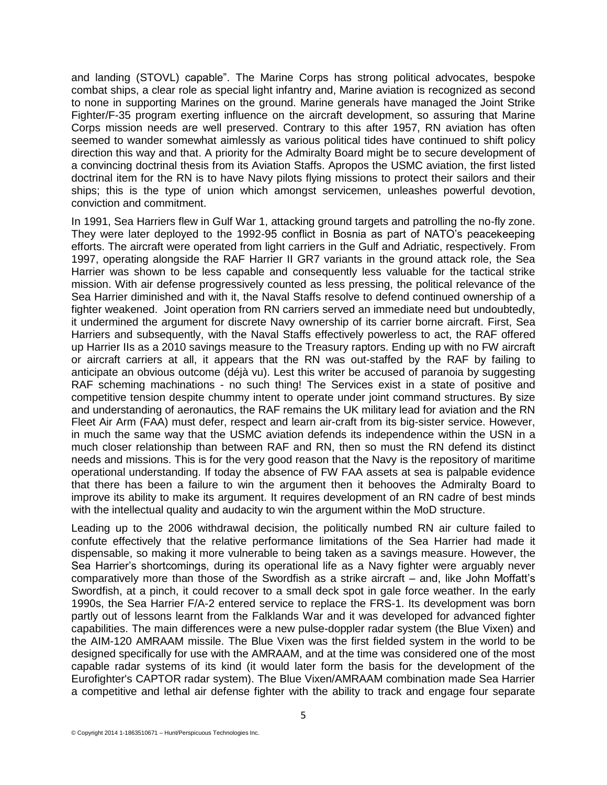and landing (STOVL) capable". The Marine Corps has strong political advocates, bespoke combat ships, a clear role as special light infantry and, Marine aviation is recognized as second to none in supporting Marines on the ground. Marine generals have managed the Joint Strike Fighter/F-35 program exerting influence on the aircraft development, so assuring that Marine Corps mission needs are well preserved. Contrary to this after 1957, RN aviation has often seemed to wander somewhat aimlessly as various political tides have continued to shift policy direction this way and that. A priority for the Admiralty Board might be to secure development of a convincing doctrinal thesis from its Aviation Staffs. Apropos the USMC aviation, the first listed doctrinal item for the RN is to have Navy pilots flying missions to protect their sailors and their ships; this is the type of union which amongst servicemen, unleashes powerful devotion, conviction and commitment.

In 1991, Sea Harriers flew in Gulf War 1, attacking ground targets and patrolling the no-fly zone. They were later deployed to the 1992-95 conflict in Bosnia as part of NATO's peacekeeping efforts. The aircraft were operated from light carriers in the Gulf and Adriatic, respectively. From 1997, operating alongside the RAF Harrier II GR7 variants in the ground attack role, the Sea Harrier was shown to be less capable and consequently less valuable for the tactical strike mission. With air defense progressively counted as less pressing, the political relevance of the Sea Harrier diminished and with it, the Naval Staffs resolve to defend continued ownership of a fighter weakened. Joint operation from RN carriers served an immediate need but undoubtedly, it undermined the argument for discrete Navy ownership of its carrier borne aircraft. First, Sea Harriers and subsequently, with the Naval Staffs effectively powerless to act, the RAF offered up Harrier IIs as a 2010 savings measure to the Treasury raptors. Ending up with no FW aircraft or aircraft carriers at all, it appears that the RN was out-staffed by the RAF by failing to anticipate an obvious outcome (déjà vu). Lest this writer be accused of paranoia by suggesting RAF scheming machinations - no such thing! The Services exist in a state of positive and competitive tension despite chummy intent to operate under joint command structures. By size and understanding of aeronautics, the RAF remains the UK military lead for aviation and the RN Fleet Air Arm (FAA) must defer, respect and learn air-craft from its big-sister service. However, in much the same way that the USMC aviation defends its independence within the USN in a much closer relationship than between RAF and RN, then so must the RN defend its distinct needs and missions. This is for the very good reason that the Navy is the repository of maritime operational understanding. If today the absence of FW FAA assets at sea is palpable evidence that there has been a failure to win the argument then it behooves the Admiralty Board to improve its ability to make its argument. It requires development of an RN cadre of best minds with the intellectual quality and audacity to win the argument within the MoD structure.

Leading up to the 2006 withdrawal decision, the politically numbed RN air culture failed to confute effectively that the relative performance limitations of the Sea Harrier had made it dispensable, so making it more vulnerable to being taken as a savings measure. However, the Sea Harrier's shortcomings, during its operational life as a Navy fighter were arguably never comparatively more than those of the Swordfish as a strike aircraft – and, like John Moffatt's Swordfish, at a pinch, it could recover to a small deck spot in gale force weather. In the early 1990s, the Sea Harrier F/A-2 entered service to replace the FRS-1. Its development was born partly out of lessons learnt from the Falklands War and it was developed for advanced fighter capabilities. The main differences were a new pulse-doppler radar system (the Blue Vixen) and the AIM-120 AMRAAM missile. The Blue Vixen was the first fielded system in the world to be designed specifically for use with the AMRAAM, and at the time was considered one of the most capable radar systems of its kind (it would later form the basis for the development of the Eurofighter's CAPTOR radar system). The Blue Vixen/AMRAAM combination made Sea Harrier a competitive and lethal air defense fighter with the ability to track and engage four separate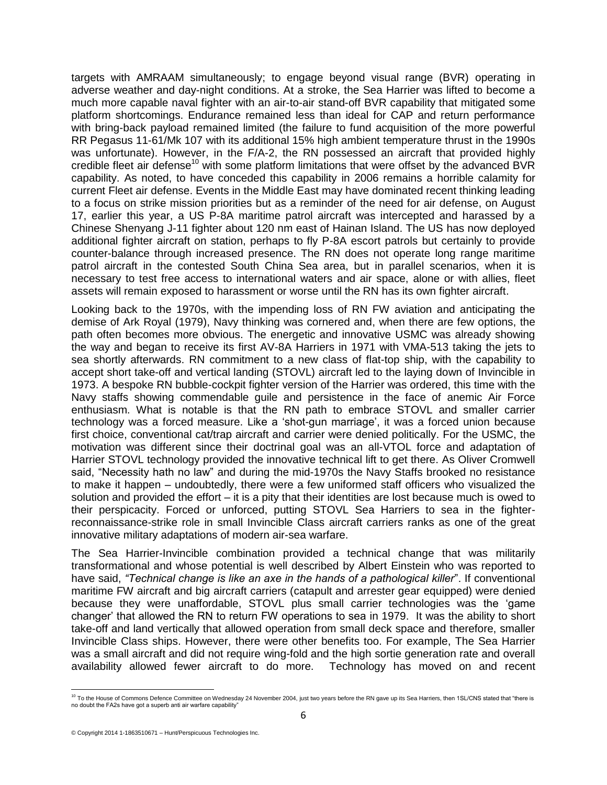targets with AMRAAM simultaneously; to engage beyond visual range (BVR) operating in adverse weather and day-night conditions. At a stroke, the Sea Harrier was lifted to become a much more capable naval fighter with an air-to-air stand-off BVR capability that mitigated some platform shortcomings. Endurance remained less than ideal for CAP and return performance with bring-back payload remained limited (the failure to fund acquisition of the more powerful RR Pegasus 11-61/Mk 107 with its additional 15% high ambient temperature thrust in the 1990s was unfortunate). However, in the F/A-2, the RN possessed an aircraft that provided highly credible fleet air defense<sup>10</sup> with some platform limitations that were offset by the advanced BVR capability. As noted, to have conceded this capability in 2006 remains a horrible calamity for current Fleet air defense. Events in the Middle East may have dominated recent thinking leading to a focus on strike mission priorities but as a reminder of the need for air defense, on August 17, earlier this year, a US P-8A maritime patrol aircraft was intercepted and harassed by a Chinese Shenyang J-11 fighter about 120 nm east of Hainan Island. The US has now deployed additional fighter aircraft on station, perhaps to fly P-8A escort patrols but certainly to provide counter-balance through increased presence. The RN does not operate long range maritime patrol aircraft in the contested South China Sea area, but in parallel scenarios, when it is necessary to test free access to international waters and air space, alone or with allies, fleet assets will remain exposed to harassment or worse until the RN has its own fighter aircraft.

Looking back to the 1970s, with the impending loss of RN FW aviation and anticipating the demise of Ark Royal (1979), Navy thinking was cornered and, when there are few options, the path often becomes more obvious. The energetic and innovative USMC was already showing the way and began to receive its first AV-8A Harriers in 1971 with VMA-513 taking the jets to sea shortly afterwards. RN commitment to a new class of flat-top ship, with the capability to accept short take-off and vertical landing (STOVL) aircraft led to the laying down of Invincible in 1973. A bespoke RN bubble-cockpit fighter version of the Harrier was ordered, this time with the Navy staffs showing commendable guile and persistence in the face of anemic Air Force enthusiasm. What is notable is that the RN path to embrace STOVL and smaller carrier technology was a forced measure. Like a 'shot-gun marriage', it was a forced union because first choice, conventional cat/trap aircraft and carrier were denied politically. For the USMC, the motivation was different since their doctrinal goal was an all-VTOL force and adaptation of Harrier STOVL technology provided the innovative technical lift to get there. As Oliver Cromwell said, "Necessity hath no law" and during the mid-1970s the Navy Staffs brooked no resistance to make it happen – undoubtedly, there were a few uniformed staff officers who visualized the solution and provided the effort – it is a pity that their identities are lost because much is owed to their perspicacity. Forced or unforced, putting STOVL Sea Harriers to sea in the fighterreconnaissance-strike role in small Invincible Class aircraft carriers ranks as one of the great innovative military adaptations of modern air-sea warfare.

The Sea Harrier-Invincible combination provided a technical change that was militarily transformational and whose potential is well described by Albert Einstein who was reported to have said, *"Technical change is like an axe in the hands of a pathological killer*". If conventional maritime FW aircraft and big aircraft carriers (catapult and arrester gear equipped) were denied because they were unaffordable, STOVL plus small carrier technologies was the 'game changer' that allowed the RN to return FW operations to sea in 1979. It was the ability to short take-off and land vertically that allowed operation from small deck space and therefore, smaller Invincible Class ships. However, there were other benefits too. For example, The Sea Harrier was a small aircraft and did not require wing-fold and the high sortie generation rate and overall availability allowed fewer aircraft to do more. Technology has moved on and recent

 <sup>10</sup> To the House of Commons Defence Committee on Wednesday 24 November 2004, just two years before the RN gave up its Sea Harriers, then 1SL/CNS stated that "there is no doubt the FA2s have got a superb anti air warfare capability"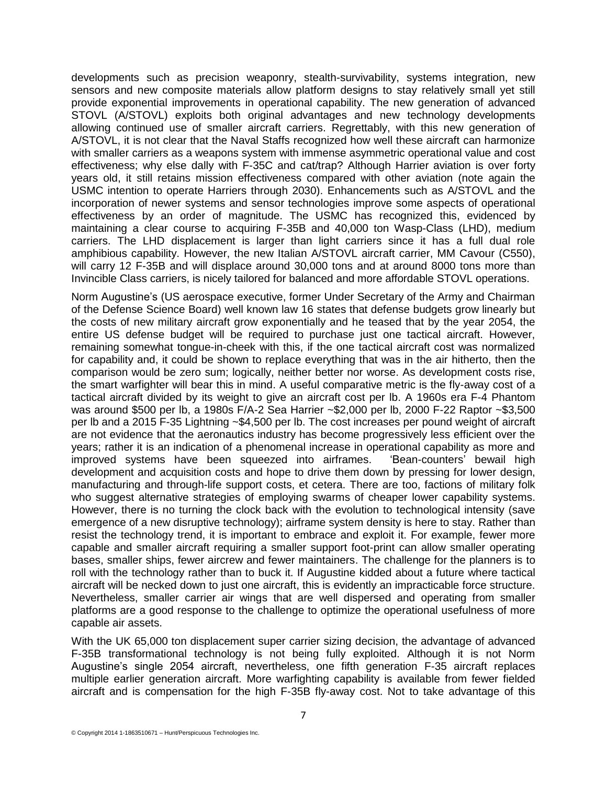developments such as precision weaponry, stealth-survivability, systems integration, new sensors and new composite materials allow platform designs to stay relatively small yet still provide exponential improvements in operational capability. The new generation of advanced STOVL (A/STOVL) exploits both original advantages and new technology developments allowing continued use of smaller aircraft carriers. Regrettably, with this new generation of A/STOVL, it is not clear that the Naval Staffs recognized how well these aircraft can harmonize with smaller carriers as a weapons system with immense asymmetric operational value and cost effectiveness; why else dally with F-35C and cat/trap? Although Harrier aviation is over forty years old, it still retains mission effectiveness compared with other aviation (note again the USMC intention to operate Harriers through 2030). Enhancements such as A/STOVL and the incorporation of newer systems and sensor technologies improve some aspects of operational effectiveness by an order of magnitude. The USMC has recognized this, evidenced by maintaining a clear course to acquiring F-35B and 40,000 ton Wasp-Class (LHD), medium carriers. The LHD displacement is larger than light carriers since it has a full dual role amphibious capability. However, the new Italian A/STOVL aircraft carrier, MM Cavour (C550), will carry 12 F-35B and will displace around 30,000 tons and at around 8000 tons more than Invincible Class carriers, is nicely tailored for balanced and more affordable STOVL operations.

Norm Augustine's (US aerospace executive, former Under Secretary of the Army and Chairman of the Defense Science Board) well known law 16 states that defense budgets grow linearly but the costs of new military aircraft grow exponentially and he teased that by the year 2054, the entire US defense budget will be required to purchase just one tactical aircraft. However, remaining somewhat tongue-in-cheek with this, if the one tactical aircraft cost was normalized for capability and, it could be shown to replace everything that was in the air hitherto, then the comparison would be zero sum; logically, neither better nor worse. As development costs rise, the smart warfighter will bear this in mind. A useful comparative metric is the fly-away cost of a tactical aircraft divided by its weight to give an aircraft cost per lb. A 1960s era F-4 Phantom was around \$500 per lb, a 1980s F/A-2 Sea Harrier ~\$2,000 per lb, 2000 F-22 Raptor ~\$3,500 per lb and a 2015 F-35 Lightning ~\$4,500 per lb. The cost increases per pound weight of aircraft are not evidence that the aeronautics industry has become progressively less efficient over the years; rather it is an indication of a phenomenal increase in operational capability as more and improved systems have been squeezed into airframes. 'Bean-counters' bewail high development and acquisition costs and hope to drive them down by pressing for lower design, manufacturing and through-life support costs, et cetera. There are too, factions of military folk who suggest alternative strategies of employing swarms of cheaper lower capability systems. However, there is no turning the clock back with the evolution to technological intensity (save emergence of a new disruptive technology); airframe system density is here to stay. Rather than resist the technology trend, it is important to embrace and exploit it. For example, fewer more capable and smaller aircraft requiring a smaller support foot-print can allow smaller operating bases, smaller ships, fewer aircrew and fewer maintainers. The challenge for the planners is to roll with the technology rather than to buck it. If Augustine kidded about a future where tactical aircraft will be necked down to just one aircraft, this is evidently an impracticable force structure. Nevertheless, smaller carrier air wings that are well dispersed and operating from smaller platforms are a good response to the challenge to optimize the operational usefulness of more capable air assets.

With the UK 65,000 ton displacement super carrier sizing decision, the advantage of advanced F-35B transformational technology is not being fully exploited. Although it is not Norm Augustine's single 2054 aircraft, nevertheless, one fifth generation F-35 aircraft replaces multiple earlier generation aircraft. More warfighting capability is available from fewer fielded aircraft and is compensation for the high F-35B fly-away cost. Not to take advantage of this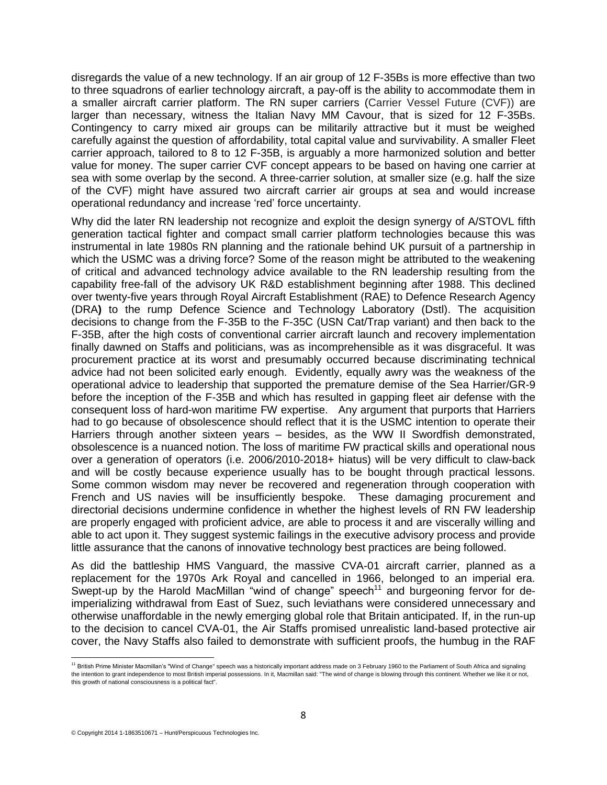disregards the value of a new technology. If an air group of 12 F-35Bs is more effective than two to three squadrons of earlier technology aircraft, a pay-off is the ability to accommodate them in a smaller aircraft carrier platform. The RN super carriers (Carrier Vessel Future (CVF)) are larger than necessary, witness the Italian Navy MM Cavour, that is sized for 12 F-35Bs. Contingency to carry mixed air groups can be militarily attractive but it must be weighed carefully against the question of affordability, total capital value and survivability. A smaller Fleet carrier approach, tailored to 8 to 12 F-35B, is arguably a more harmonized solution and better value for money. The super carrier CVF concept appears to be based on having one carrier at sea with some overlap by the second. A three-carrier solution, at smaller size (e.g. half the size of the CVF) might have assured two aircraft carrier air groups at sea and would increase operational redundancy and increase 'red' force uncertainty.

Why did the later RN leadership not recognize and exploit the design synergy of A/STOVL fifth generation tactical fighter and compact small carrier platform technologies because this was instrumental in late 1980s RN planning and the rationale behind UK pursuit of a partnership in which the USMC was a driving force? Some of the reason might be attributed to the weakening of critical and advanced technology advice available to the RN leadership resulting from the capability free-fall of the advisory UK R&D establishment beginning after 1988. This declined over twenty-five years through Royal Aircraft Establishment (RAE) to Defence Research Agency (DRA**)** to the rump Defence Science and Technology Laboratory (Dstl). The acquisition decisions to change from the F-35B to the F-35C (USN Cat/Trap variant) and then back to the F-35B, after the high costs of conventional carrier aircraft launch and recovery implementation finally dawned on Staffs and politicians, was as incomprehensible as it was disgraceful. It was procurement practice at its worst and presumably occurred because discriminating technical advice had not been solicited early enough. Evidently, equally awry was the weakness of the operational advice to leadership that supported the premature demise of the Sea Harrier/GR-9 before the inception of the F-35B and which has resulted in gapping fleet air defense with the consequent loss of hard-won maritime FW expertise. Any argument that purports that Harriers had to go because of obsolescence should reflect that it is the USMC intention to operate their Harriers through another sixteen years – besides, as the WW II Swordfish demonstrated, obsolescence is a nuanced notion. The loss of maritime FW practical skills and operational nous over a generation of operators (i.e. 2006/2010-2018+ hiatus) will be very difficult to claw-back and will be costly because experience usually has to be bought through practical lessons. Some common wisdom may never be recovered and regeneration through cooperation with French and US navies will be insufficiently bespoke. These damaging procurement and directorial decisions undermine confidence in whether the highest levels of RN FW leadership are properly engaged with proficient advice, are able to process it and are viscerally willing and able to act upon it. They suggest systemic failings in the executive advisory process and provide little assurance that the canons of innovative technology best practices are being followed.

As did the battleship HMS Vanguard, the massive CVA-01 aircraft carrier, planned as a replacement for the 1970s Ark Royal and cancelled in 1966, belonged to an imperial era. Swept-up by the Harold MacMillan "wind of change" speech<sup>11</sup> and burgeoning fervor for deimperializing withdrawal from East of Suez, such leviathans were considered unnecessary and otherwise unaffordable in the newly emerging global role that Britain anticipated. If, in the run-up to the decision to cancel CVA-01, the Air Staffs promised unrealistic land-based protective air cover, the Navy Staffs also failed to demonstrate with sufficient proofs, the humbug in the RAF

<sup>11&</sup>lt;br><sup>11</sup> British Prime Minister Macmillan's "Wind of Change" speech was a historically important address made on 3 February 1960 to th[e Parliament of South Africa](http://en.wikipedia.org/wiki/Parliament_of_South_Africa) and signaling the intention to grant independence to most British imperial possessions. In it, Macmillan said: "The wind of change is blowing through this continent. Whether we like it or not, this growth of national consciousness is a political fact".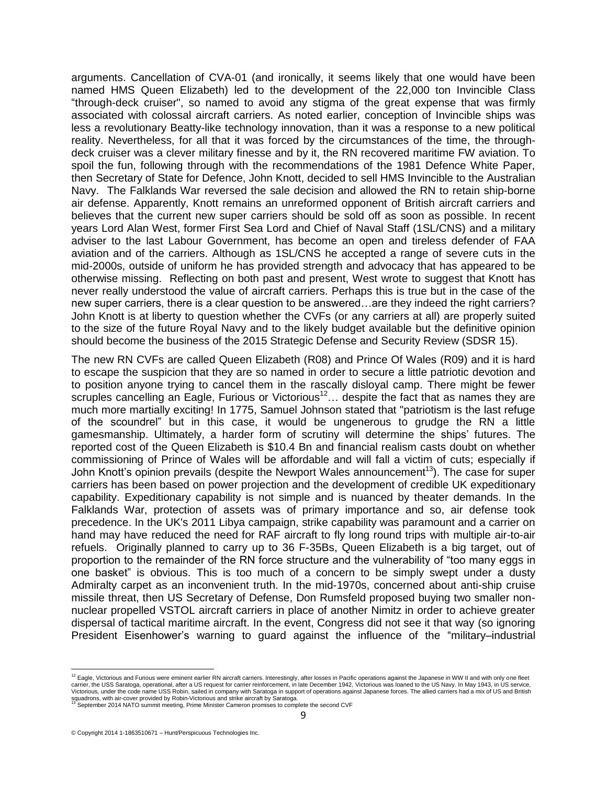arguments. Cancellation of CVA-01 (and ironically, it seems likely that one would have been named HMS Queen Elizabeth) led to the development of the 22,000 ton Invincible Class "through-deck cruiser", so named to avoid any stigma of the great expense that was firmly associated with colossal aircraft carriers. As noted earlier, conception of Invincible ships was less a revolutionary Beatty-like technology innovation, than it was a response to a new political reality. Nevertheless, for all that it was forced by the circumstances of the time, the throughdeck cruiser was a clever military finesse and by it, the RN recovered maritime FW aviation. To spoil the fun, following through with the recommendations of the 1981 Defence White Paper, then Secretary of State for Defence, John Knott, decided to sell HMS Invincible to the Australian Navy. The Falklands War reversed the sale decision and allowed the RN to retain ship-borne air defense. Apparently, Knott remains an unreformed opponent of British aircraft carriers and believes that the current new super carriers should be sold off as soon as possible. In recent years Lord Alan West, former First Sea Lord and Chief of Naval Staff (1SL/CNS) and a military adviser to the last Labour Government, has become an open and tireless defender of FAA aviation and of the carriers. Although as 1SL/CNS he accepted a range of severe cuts in the mid-2000s, outside of uniform he has provided strength and advocacy that has appeared to be otherwise missing. Reflecting on both past and present, West wrote to suggest that Knott has never really understood the value of aircraft carriers. Perhaps this is true but in the case of the new super carriers, there is a clear question to be answered…are they indeed the right carriers? John Knott is at liberty to question whether the CVFs (or any carriers at all) are properly suited to the size of the future Royal Navy and to the likely budget available but the definitive opinion should become the business of the 2015 Strategic Defense and Security Review (SDSR 15).

The new RN CVFs are called Queen Elizabeth (R08) and Prince Of Wales (R09) and it is hard to escape the suspicion that they are so named in order to secure a little patriotic devotion and to position anyone trying to cancel them in the rascally disloyal camp. There might be fewer scruples cancelling an Eagle, Furious or Victorious<sup>12</sup>... despite the fact that as names they are much more martially exciting! In 1775, Samuel Johnson stated that "patriotism is the last refuge of the scoundrel" but in this case, it would be ungenerous to grudge the RN a little gamesmanship. Ultimately, a harder form of scrutiny will determine the ships' futures. The reported cost of the Queen Elizabeth is \$10.4 Bn and financial realism casts doubt on whether commissioning of Prince of Wales will be affordable and will fall a victim of cuts; especially if John Knott's opinion prevails (despite the Newport Wales announcement<sup>13</sup>). The case for super carriers has been based on power projection and the development of credible UK expeditionary capability. Expeditionary capability is not simple and is nuanced by theater demands. In the Falklands War, protection of assets was of primary importance and so, air defense took precedence. In the UK's 2011 Libya campaign, strike capability was paramount and a carrier on hand may have reduced the need for RAF aircraft to fly long round trips with multiple air-to-air refuels. Originally planned to carry up to 36 F-35Bs, Queen Elizabeth is a big target, out of proportion to the remainder of the RN force structure and the vulnerability of "too many eggs in one basket" is obvious. This is too much of a concern to be simply swept under a dusty Admiralty carpet as an inconvenient truth. In the mid-1970s, concerned about anti-ship cruise missile threat, then US Secretary of Defense, Don Rumsfeld proposed buying two smaller nonnuclear propelled VSTOL aircraft carriers in place of another Nimitz in order to achieve greater dispersal of tactical maritime aircraft. In the event, Congress did not see it that way (so ignoring President Eisenhower's warning to guard against the influence of the "military–industrial

<sup>&</sup>lt;sup>12</sup> Eagle, Victorious and Furious were eminent earlier RN aircraft carriers. Interestingly, after losses in Pacific operations against the Japanese in WW II and with only one fleet carrier, the USS [Saratoga,](http://en.wikipedia.org/wiki/USS_Saratoga_(CV-3)) operational, after a US request for carrier reinforcement, in late December 1942, Victorious was loaned to the US Navy. In May 1943, in US service,<br>Victorious, under the code name USS Robin, sail

squadrons, with air-cover provided by Robin-Victorious and strike aircraft by Saratoga.<br><sup>13</sup> September 2014 NATO summit meeting, Prime Minister Cameron promises to complete the second CVF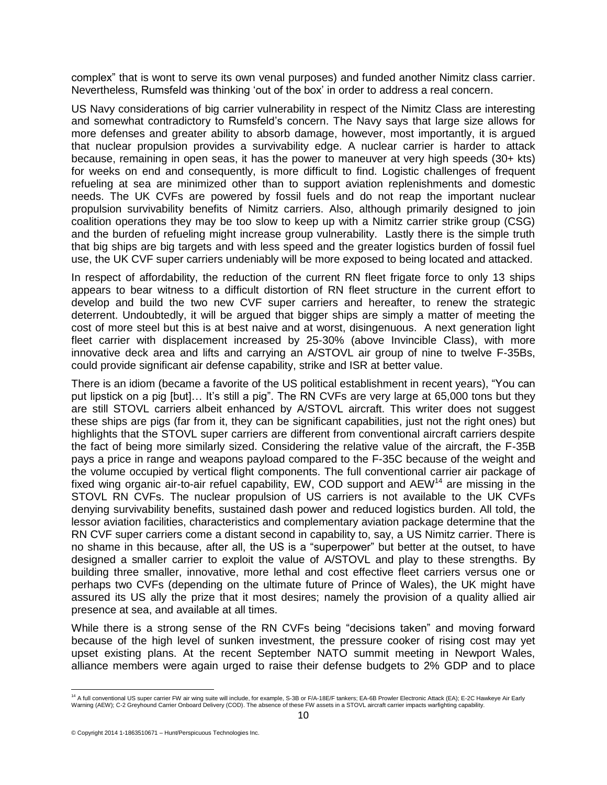complex" that is wont to serve its own venal purposes) and funded another Nimitz class carrier. Nevertheless, Rumsfeld was thinking 'out of the box' in order to address a real concern.

US Navy considerations of big carrier vulnerability in respect of the Nimitz Class are interesting and somewhat contradictory to Rumsfeld's concern. The Navy says that large size allows for more defenses and greater ability to absorb damage, however, most importantly, it is argued that nuclear propulsion provides a survivability edge. A nuclear carrier is harder to attack because, remaining in open seas, it has the power to maneuver at very high speeds (30+ kts) for weeks on end and consequently, is more difficult to find. Logistic challenges of frequent refueling at sea are minimized other than to support aviation replenishments and domestic needs. The UK CVFs are powered by fossil fuels and do not reap the important nuclear propulsion survivability benefits of Nimitz carriers. Also, although primarily designed to join coalition operations they may be too slow to keep up with a Nimitz carrier strike group (CSG) and the burden of refueling might increase group vulnerability. Lastly there is the simple truth that big ships are big targets and with less speed and the greater logistics burden of fossil fuel use, the UK CVF super carriers undeniably will be more exposed to being located and attacked.

In respect of affordability, the reduction of the current RN fleet frigate force to only 13 ships appears to bear witness to a difficult distortion of RN fleet structure in the current effort to develop and build the two new CVF super carriers and hereafter, to renew the strategic deterrent. Undoubtedly, it will be argued that bigger ships are simply a matter of meeting the cost of more steel but this is at best naive and at worst, disingenuous. A next generation light fleet carrier with displacement increased by 25-30% (above Invincible Class), with more innovative deck area and lifts and carrying an A/STOVL air group of nine to twelve F-35Bs, could provide significant air defense capability, strike and ISR at better value.

There is an idiom (became a favorite of the US political establishment in recent years), "You can put lipstick on a pig [but]... It's still a pig". The RN CVFs are very large at 65,000 tons but they are still STOVL carriers albeit enhanced by A/STOVL aircraft. This writer does not suggest these ships are pigs (far from it, they can be significant capabilities, just not the right ones) but highlights that the STOVL super carriers are different from conventional aircraft carriers despite the fact of being more similarly sized. Considering the relative value of the aircraft, the F-35B pays a price in range and weapons payload compared to the F-35C because of the weight and the volume occupied by vertical flight components. The full conventional carrier air package of fixed wing organic air-to-air refuel capability, EW, COD support and  $AEW$ <sup>14</sup> are missing in the STOVL RN CVFs. The nuclear propulsion of US carriers is not available to the UK CVFs denying survivability benefits, sustained dash power and reduced logistics burden. All told, the lessor aviation facilities, characteristics and complementary aviation package determine that the RN CVF super carriers come a distant second in capability to, say, a US Nimitz carrier. There is no shame in this because, after all, the US is a "superpower" but better at the outset, to have designed a smaller carrier to exploit the value of A/STOVL and play to these strengths. By building three smaller, innovative, more lethal and cost effective fleet carriers versus one or perhaps two CVFs (depending on the ultimate future of Prince of Wales), the UK might have assured its US ally the prize that it most desires; namely the provision of a quality allied air presence at sea, and available at all times.

While there is a strong sense of the RN CVFs being "decisions taken" and moving forward because of the high level of sunken investment, the pressure cooker of rising cost may yet upset existing plans. At the recent September NATO summit meeting in Newport Wales, alliance members were again urged to raise their defense budgets to 2% GDP and to place

<sup>&</sup>lt;sup>14</sup> A full conventional US super carrier FW air wing suite will include, for example, S-3B or F/A-18E/F tankers; EA-6B Prowler Electronic Attack (EA); E-2C Hawkeye Air Early<br>Warning (AEW); C-2 Greyhound Carrier Onboard De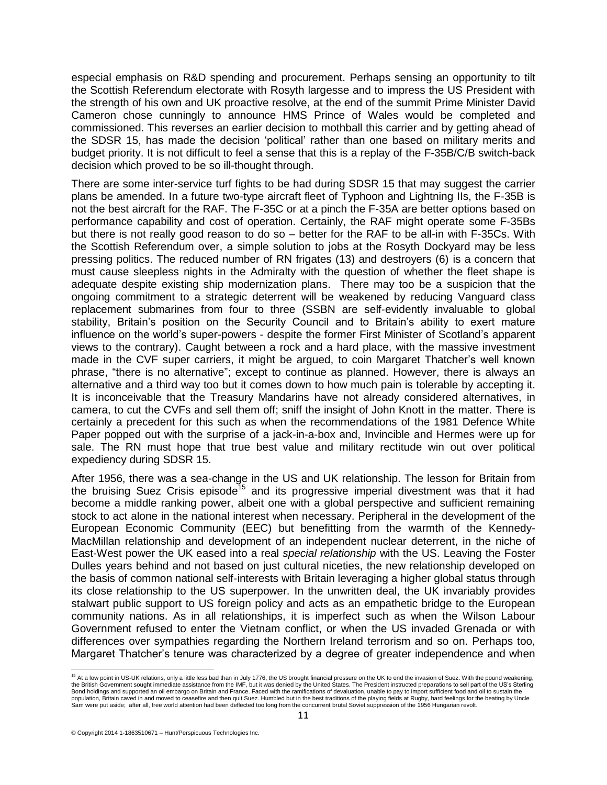especial emphasis on R&D spending and procurement. Perhaps sensing an opportunity to tilt the Scottish Referendum electorate with Rosyth largesse and to impress the US President with the strength of his own and UK proactive resolve, at the end of the summit Prime Minister David Cameron chose cunningly to announce HMS Prince of Wales would be completed and commissioned. This reverses an earlier decision to mothball this carrier and by getting ahead of the SDSR 15, has made the decision 'political' rather than one based on military merits and budget priority. It is not difficult to feel a sense that this is a replay of the F-35B/C/B switch-back decision which proved to be so ill-thought through.

There are some inter-service turf fights to be had during SDSR 15 that may suggest the carrier plans be amended. In a future two-type aircraft fleet of Typhoon and Lightning IIs, the F-35B is not the best aircraft for the RAF. The F-35C or at a pinch the F-35A are better options based on performance capability and cost of operation. Certainly, the RAF might operate some F-35Bs but there is not really good reason to do so – better for the RAF to be all-in with F-35Cs. With the Scottish Referendum over, a simple solution to jobs at the Rosyth Dockyard may be less pressing politics. The reduced number of RN frigates (13) and destroyers (6) is a concern that must cause sleepless nights in the Admiralty with the question of whether the fleet shape is adequate despite existing ship modernization plans. There may too be a suspicion that the ongoing commitment to a strategic deterrent will be weakened by reducing Vanguard class replacement submarines from four to three (SSBN are self-evidently invaluable to global stability, Britain's position on the Security Council and to Britain's ability to exert mature influence on the world's super-powers - despite the former [First Minister of Scotland'](http://en.wikipedia.org/wiki/First_Minister_of_Scotland)s apparent views to the contrary). Caught between a rock and a hard place, with the massive investment made in the CVF super carriers, it might be argued, to coin Margaret Thatcher's well known phrase, "there is no alternative"; except to continue as planned. However, there is always an alternative and a third way too but it comes down to how much pain is tolerable by accepting it. It is inconceivable that the Treasury Mandarins have not already considered alternatives, in camera, to cut the CVFs and sell them off; sniff the insight of John Knott in the matter. There is certainly a precedent for this such as when the recommendations of the 1981 Defence White Paper popped out with the surprise of a jack-in-a-box and, Invincible and Hermes were up for sale. The RN must hope that true best value and military rectitude win out over political expediency during SDSR 15.

After 1956, there was a sea-change in the US and UK relationship. The lesson for Britain from the bruising Suez Crisis episode<sup>15</sup> and its progressive imperial divestment was that it had become a middle ranking power, albeit one with a global perspective and sufficient remaining stock to act alone in the national interest when necessary. Peripheral in the development of the European Economic Community (EEC) but benefitting from the warmth of the Kennedy-MacMillan relationship and development of an independent nuclear deterrent, in the niche of East-West power the UK eased into a real *special relationship* with the US. Leaving the Foster Dulles years behind and not based on just cultural niceties, the new relationship developed on the basis of common national self-interests with Britain leveraging a higher global status through its close relationship to the US superpower. In the unwritten deal, the UK invariably provides stalwart public support to US foreign policy and acts as an empathetic bridge to the European community nations. As in all relationships, it is imperfect such as when the Wilson Labour Government refused to enter the Vietnam conflict, or when the US invaded Grenada or with differences over sympathies regarding the Northern Ireland terrorism and so on. Perhaps too, Margaret Thatcher's tenure was characterized by a degree of greater independence and when

 <sup>15</sup> At a low point in US-UK relations, only a little less bad than in July 1776, the US brought financial pressure on the UK to end the invasion of Suez. With the pound weakening, the British Government sought immediate assistance from the IMF, but it was denied by the United States. The President instructed preparations to sell part of the US's Sterling Bond holdings and supported an oil embargo on Britain and France. Faced with the ramifications of devaluation, unable to pay to import sufficient food and oil to sustain the Bond holdings and supported an oil embargo on Br population, Britain caved in and moved to ceasefire and then quit Suez. Humbled but in the best traditions of the playing fields at Rugby, hard feelings for the beating by Uncle<br>Sam were put aside; after all, free world at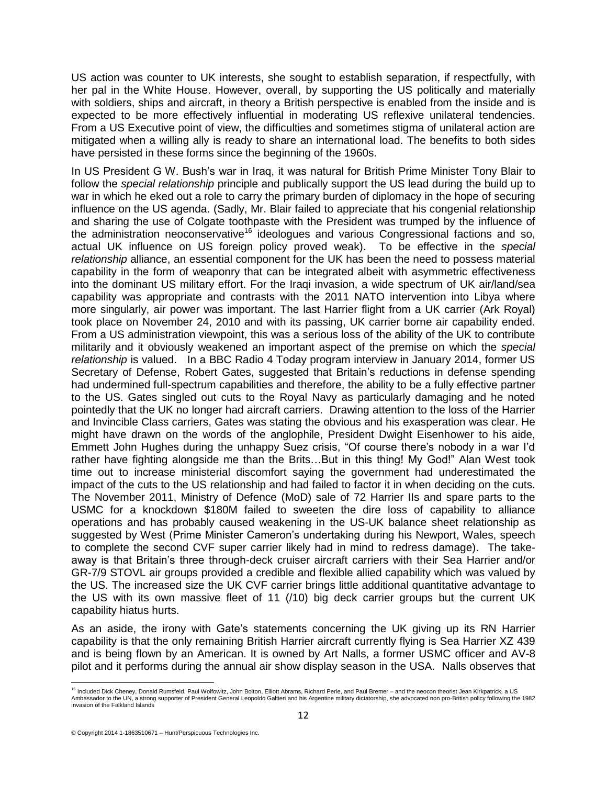US action was counter to UK interests, she sought to establish separation, if respectfully, with her pal in the White House. However, overall, by supporting the US politically and materially with soldiers, ships and aircraft, in theory a British perspective is enabled from the inside and is expected to be more effectively influential in moderating US reflexive unilateral tendencies. From a US Executive point of view, the difficulties and sometimes stigma of unilateral action are mitigated when a willing ally is ready to share an international load. The benefits to both sides have persisted in these forms since the beginning of the 1960s.

In US President G W. Bush's war in Iraq, it was natural for British Prime Minister Tony Blair to follow the *special relationship* principle and publically support the US lead during the build up to war in which he eked out a role to carry the primary burden of diplomacy in the hope of securing influence on the US agenda. (Sadly, Mr. Blair failed to appreciate that his congenial relationship and sharing the use of Colgate toothpaste with the President was trumped by the influence of the administration neoconservative<sup>16</sup> ideologues and various Congressional factions and so, actual UK influence on US foreign policy proved weak). To be effective in the *special relationship* alliance, an essential component for the UK has been the need to possess material capability in the form of weaponry that can be integrated albeit with asymmetric effectiveness into the dominant US military effort. For the Iraqi invasion, a wide spectrum of UK air/land/sea capability was appropriate and contrasts with the 2011 NATO intervention into Libya where more singularly, air power was important. The last Harrier flight from a UK carrier (Ark Royal) took place on November 24, 2010 and with its passing, UK carrier borne air capability ended. From a US administration viewpoint, this was a serious loss of the ability of the UK to contribute militarily and it obviously weakened an important aspect of the premise on which the *special relationship* is valued. In a BBC Radio 4 Today program interview in January 2014, former US Secretary of Defense, Robert Gates, suggested that Britain's reductions in defense spending had undermined full-spectrum capabilities and therefore, the ability to be a fully effective partner to the US. Gates singled out cuts to the Royal Navy as particularly damaging and he noted pointedly that the UK no longer had aircraft carriers. Drawing attention to the loss of the Harrier and Invincible Class carriers, Gates was stating the obvious and his exasperation was clear. He might have drawn on the words of the anglophile, President Dwight Eisenhower to his aide, Emmett John Hughes during the unhappy Suez crisis, "Of course there's nobody in a war I'd rather have fighting alongside me than the Brits...But in this thing! My God!" Alan West took time out to increase ministerial discomfort saying the government had underestimated the impact of the cuts to the US relationship and had failed to factor it in when deciding on the cuts. The November 2011, Ministry of Defence (MoD) sale of 72 Harrier IIs and spare parts to the USMC for a knockdown \$180M failed to sweeten the dire loss of capability to alliance operations and has probably caused weakening in the US-UK balance sheet relationship as suggested by West (Prime Minister Cameron's undertaking during his Newport, Wales, speech to complete the second CVF super carrier likely had in mind to redress damage). The takeaway is that Britain's three through-deck cruiser aircraft carriers with their Sea Harrier and/or GR-7/9 STOVL air groups provided a credible and flexible allied capability which was valued by the US. The increased size the UK CVF carrier brings little additional quantitative advantage to the US with its own massive fleet of 11 (/10) big deck carrier groups but the current UK capability hiatus hurts.

As an aside, the irony with Gate's statements concerning the UK giving up its RN Harrier capability is that the only remaining British Harrier aircraft currently flying is Sea Harrier XZ 439 and is being flown by an American. It is owned by Art Nalls, a former USMC officer and AV-8 pilot and it performs during the annual air show display season in the USA. Nalls observes that

<sup>&</sup>lt;sup>16</sup> Include[d Dick Cheney,](http://en.wikipedia.org/wiki/Dick_Cheney) [Donald Rumsfeld,](http://en.wikipedia.org/wiki/Donald_Rumsfeld) [Paul Wolfowitz,](http://en.wikipedia.org/wiki/Paul_Wolfowitz) [John Bolton,](http://en.wikipedia.org/wiki/John_R._Bolton) [Elliott Abrams,](http://en.wikipedia.org/wiki/Elliott_Abrams) [Richard Perle,](http://en.wikipedia.org/wiki/Richard_Perle) an[d Paul Bremer](http://en.wikipedia.org/wiki/Paul_Bremer) – and the neocon theorist Jean Kirkpatrick, a US Ambassador to the UN, a strong supporter of President General [Leopoldo Galtieri](http://en.wikipedia.org/wiki/Leopoldo_Galtieri) and hi[s Argentine](http://en.wikipedia.org/wiki/Argentina) military dictatorship, she advocated non pro-British policy following the 1982 invasion of the [Falkland Islands](http://en.wikipedia.org/wiki/Falkland_Islands)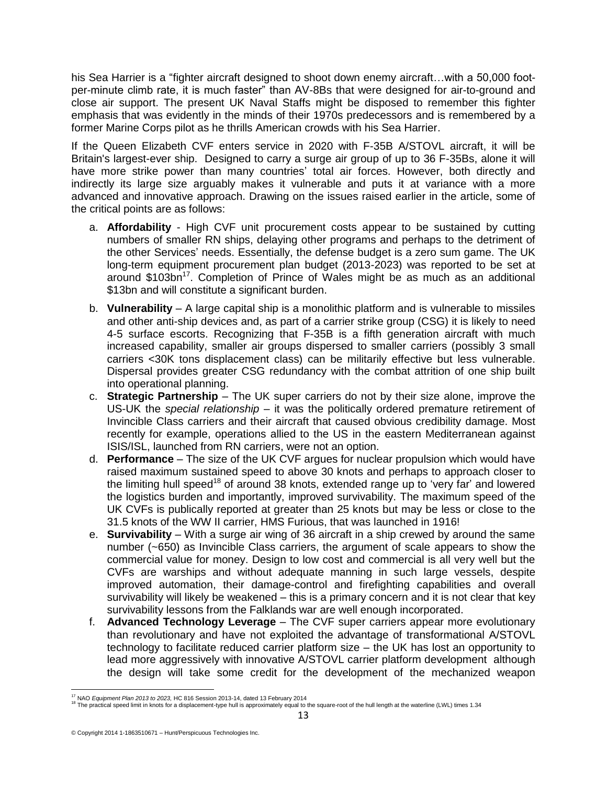his Sea Harrier is a "fighter aircraft designed to shoot down enemy aircraft…with a 50,000 footper-minute climb rate, it is much faster" than AV-8Bs that were designed for air-to-ground and close air support. The present UK Naval Staffs might be disposed to remember this fighter emphasis that was evidently in the minds of their 1970s predecessors and is remembered by a former Marine Corps pilot as he thrills American crowds with his Sea Harrier.

If the Queen Elizabeth CVF enters service in 2020 with F-35B A/STOVL aircraft, it will be Britain's largest-ever ship. Designed to carry a surge air group of up to 36 F-35Bs, alone it will have more strike power than many countries' total air forces. However, both directly and indirectly its large size arguably makes it vulnerable and puts it at variance with a more advanced and innovative approach. Drawing on the issues raised earlier in the article, some of the critical points are as follows:

- a. **Affordability** High CVF unit procurement costs appear to be sustained by cutting numbers of smaller RN ships, delaying other programs and perhaps to the detriment of the other Services' needs. Essentially, the defense budget is a zero sum game. The UK long-term equipment procurement plan budget (2013-2023) was reported to be set at around \$103bn<sup>17</sup>. Completion of Prince of Wales might be as much as an additional \$13bn and will constitute a significant burden.
- b. **Vulnerability** A large capital ship is a monolithic platform and is vulnerable to missiles and other anti-ship devices and, as part of a carrier strike group (CSG) it is likely to need 4-5 surface escorts. Recognizing that F-35B is a fifth generation aircraft with much increased capability, smaller air groups dispersed to smaller carriers (possibly 3 small carriers <30K tons displacement class) can be militarily effective but less vulnerable. Dispersal provides greater CSG redundancy with the combat attrition of one ship built into operational planning.
- c. **Strategic Partnership** The UK super carriers do not by their size alone, improve the US-UK the *special relationship* – it was the politically ordered premature retirement of Invincible Class carriers and their aircraft that caused obvious credibility damage. Most recently for example, operations allied to the US in the eastern Mediterranean against ISIS/ISL, launched from RN carriers, were not an option.
- d. **Performance** The size of the UK CVF argues for nuclear propulsion which would have raised maximum sustained speed to above 30 knots and perhaps to approach closer to the limiting hull speed<sup>18</sup> of around 38 knots, extended range up to 'very far' and lowered the logistics burden and importantly, improved survivability. The maximum speed of the UK CVFs is publically reported at greater than 25 knots but may be less or close to the 31.5 knots of the WW II carrier, HMS Furious, that was launched in 1916!
- e. **Survivability** With a surge air wing of 36 aircraft in a ship crewed by around the same number (~650) as Invincible Class carriers, the argument of scale appears to show the commercial value for money. Design to low cost and commercial is all very well but the CVFs are warships and without adequate manning in such large vessels, despite improved automation, their damage-control and firefighting capabilities and overall survivability will likely be weakened – this is a primary concern and it is not clear that key survivability lessons from the Falklands war are well enough incorporated.
- f. **Advanced Technology Leverage** The CVF super carriers appear more evolutionary than revolutionary and have not exploited the advantage of transformational A/STOVL technology to facilitate reduced carrier platform size – the UK has lost an opportunity to lead more aggressively with innovative A/STOVL carrier platform development although the design will take some credit for the development of the mechanized weapon

<sup>&</sup>lt;sup>17</sup> NAO *Equipment Plan 2013 to 2023,* HC 816 Session 2013-14, dated 13 February 2014<br><sup>18</sup> The practical speed limit in knots for a displacement-type hull is approximately equal to the square-root of the hull length at th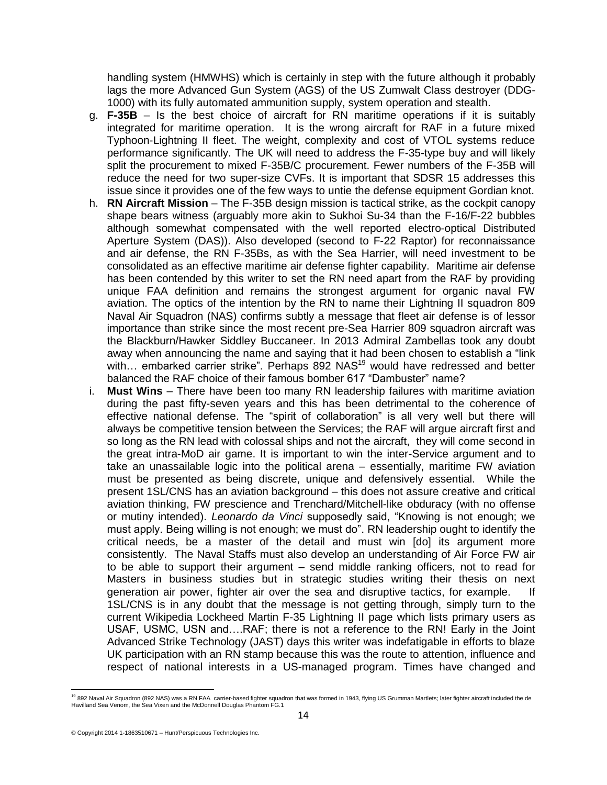handling system (HMWHS) which is certainly in step with the future although it probably lags the more Advanced Gun System (AGS) of the US Zumwalt Class destroyer (DDG-1000) with its fully automated ammunition supply, system operation and stealth.

- g. **F-35B** Is the best choice of aircraft for RN maritime operations if it is suitably integrated for maritime operation. It is the wrong aircraft for RAF in a future mixed Typhoon-Lightning II fleet. The weight, complexity and cost of VTOL systems reduce performance significantly. The UK will need to address the F-35-type buy and will likely split the procurement to mixed F-35B/C procurement. Fewer numbers of the F-35B will reduce the need for two super-size CVFs. It is important that SDSR 15 addresses this issue since it provides one of the few ways to untie the defense equipment Gordian knot.
- h. **RN Aircraft Mission** The F-35B design mission is tactical strike, as the cockpit canopy shape bears witness (arguably more akin to Sukhoi Su-34 than the F-16/F-22 bubbles although somewhat compensated with the well reported electro-optical Distributed Aperture System (DAS)). Also developed (second to F-22 Raptor) for reconnaissance and air defense, the RN F-35Bs, as with the Sea Harrier, will need investment to be consolidated as an effective maritime air defense fighter capability. Maritime air defense has been contended by this writer to set the RN need apart from the RAF by providing unique FAA definition and remains the strongest argument for organic naval FW aviation. The optics of the intention by the RN to name their Lightning II squadron 809 Naval Air Squadron (NAS) confirms subtly a message that fleet air defense is of lessor importance than strike since the most recent pre-Sea Harrier 809 squadron aircraft was the Blackburn/Hawker Siddley Buccaneer. In 2013 Admiral Zambellas took any doubt away when announcing the name and saying that it had been chosen to establish a "link with... embarked carrier strike". Perhaps 892 NAS<sup>19</sup> would have redressed and better balanced the RAF choice of their famous bomber 617 "Dambuster" name?
- i. **Must Wins**  There have been too many RN leadership failures with maritime aviation during the past fifty-seven years and this has been detrimental to the coherence of effective national defense. The "spirit of collaboration" is all very well but there will always be competitive tension between the Services; the RAF will argue aircraft first and so long as the RN lead with colossal ships and not the aircraft, they will come second in the great intra-MoD air game. It is important to win the inter-Service argument and to take an unassailable logic into the political arena – essentially, maritime FW aviation must be presented as being discrete, unique and defensively essential. While the present 1SL/CNS has an aviation background – this does not assure creative and critical aviation thinking, FW prescience and Trenchard/Mitchell-like obduracy (with no offense or mutiny intended). *Leonardo da Vinci* supposedly said, "Knowing is not enough; we must apply. Being willing is not enough; we must do". RN leadership ought to identify the critical needs, be a master of the detail and must win [do] its argument more consistently. The Naval Staffs must also develop an understanding of Air Force FW air to be able to support their argument – send middle ranking officers, not to read for Masters in business studies but in strategic studies writing their thesis on next generation air power, fighter air over the sea and disruptive tactics, for example. If 1SL/CNS is in any doubt that the message is not getting through, simply turn to the current Wikipedia Lockheed Martin F-35 Lightning II page which lists primary users as USAF, USMC, USN and….RAF; there is not a reference to the RN! Early in the Joint Advanced Strike Technology (JAST) days this writer was indefatigable in efforts to blaze UK participation with an RN stamp because this was the route to attention, influence and respect of national interests in a US-managed program. Times have changed and

<sup>&</sup>lt;sup>19</sup> 892 Naval Air Squadron (892 NAS) was a RN FAA carrier-based fighter squadron that was formed in 1943, flying U[S Grumman Martlets;](http://en.wikipedia.org/wiki/F4F_Wildcat) later fighter aircraft included the de<br>Havilland Sea Venom, the Sea Vixen and the McDon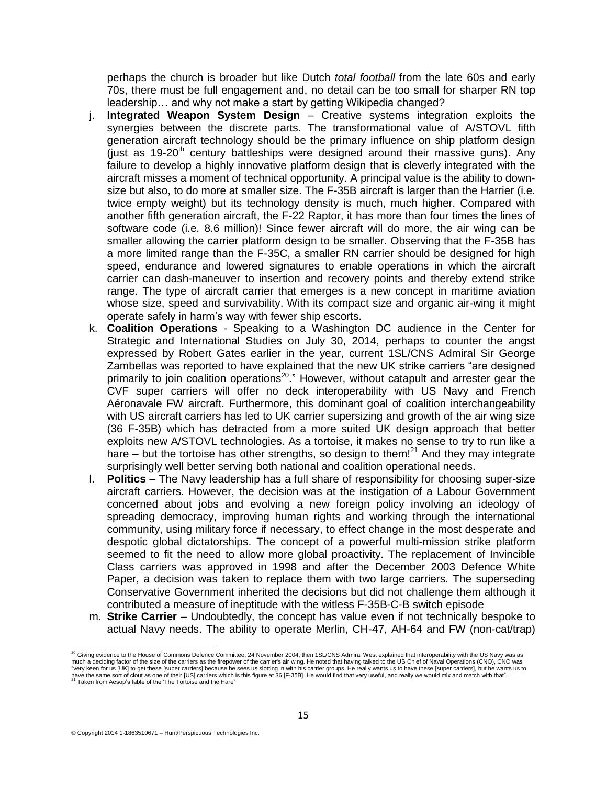perhaps the church is broader but like Dutch *total football* from the late 60s and early 70s, there must be full engagement and, no detail can be too small for sharper RN top leadership… and why not make a start by getting Wikipedia changed?

- j. **Integrated Weapon System Design** Creative systems integration exploits the synergies between the discrete parts. The transformational value of A/STOVL fifth generation aircraft technology should be the primary influence on ship platform design (just as  $19-20<sup>th</sup>$  century battleships were designed around their massive guns). Any failure to develop a highly innovative platform design that is cleverly integrated with the aircraft misses a moment of technical opportunity. A principal value is the ability to downsize but also, to do more at smaller size. The F-35B aircraft is larger than the Harrier (i.e. twice empty weight) but its technology density is much, much higher. Compared with another fifth generation aircraft, the F-22 Raptor, it has more than four times the lines of software code (i.e. 8.6 million)! Since fewer aircraft will do more, the air wing can be smaller allowing the carrier platform design to be smaller. Observing that the F-35B has a more limited range than the F-35C, a smaller RN carrier should be designed for high speed, endurance and lowered signatures to enable operations in which the aircraft carrier can dash-maneuver to insertion and recovery points and thereby extend strike range. The type of aircraft carrier that emerges is a new concept in maritime aviation whose size, speed and survivability. With its compact size and organic air-wing it might operate safely in harm's way with fewer ship escorts.
- k. **Coalition Operations** Speaking to a Washington DC audience in the Center for Strategic and International Studies on July 30, 2014, perhaps to counter the angst expressed by Robert Gates earlier in the year, current 1SL/CNS Admiral Sir George Zambellas was reported to have explained that the new UK strike carriers "are designed primarily to join coalition operations<sup>20</sup>." However, without catapult and arrester gear the CVF super carriers will offer no deck interoperability with US Navy and French Aéronavale FW aircraft. Furthermore, this dominant goal of coalition interchangeability with US aircraft carriers has led to UK carrier supersizing and growth of the air wing size (36 F-35B) which has detracted from a more suited UK design approach that better exploits new A/STOVL technologies. As a tortoise, it makes no sense to try to run like a hare – but the tortoise has other strengths, so design to them!<sup>21</sup> And they may integrate surprisingly well better serving both national and coalition operational needs.
- l. **Politics** The Navy leadership has a full share of responsibility for choosing super-size aircraft carriers. However, the decision was at the instigation of a Labour Government concerned about jobs and evolving a new foreign policy involving an ideology of spreading democracy, improving human rights and working through the international community, using military force if necessary, to effect change in the most desperate and despotic global dictatorships. The concept of a powerful multi-mission strike platform seemed to fit the need to allow more global proactivity. The replacement of Invincible Class carriers was approved in 1998 and after the December 2003 Defence White Paper, a decision was taken to replace them with two large carriers. The superseding Conservative Government inherited the decisions but did not challenge them although it contributed a measure of ineptitude with the witless F-35B-C-B switch episode
- m. **Strike Carrier** Undoubtedly, the concept has value even if not technically bespoke to actual Navy needs. The ability to operate Merlin, CH-47, AH-64 and FW (non-cat/trap)

 $\frac{20}{2}$  Giving evidence to th[e House of Commons](http://en.wikipedia.org/wiki/British_House_of_Commons) [Defence Committee,](http://en.wikipedia.org/wiki/Defence_Committee) 24 November 2004, then 1SL/CN[S Admiral West](http://en.wikipedia.org/wiki/Admiral_Sir_Alan_West) explained that interoperability with the US Navy was as much a deciding factor of the size of the carriers as the firepower of the carrier's air wing. He noted that having talked to the U[S Chief of Naval Operations](http://en.wikipedia.org/wiki/Chief_of_Naval_Operations) (CNO), CNO was "very keen for us [UK] to get these [super carriers] because he sees us slotting in with his carrier groups. He really wants us to have these [super carriers], but he wants us to<br>have the same sort of clout as one of their Taken fro[m Aesop's](http://www.eastoftheweb.com/cgi-bin/read_db.pl?search_field=author_id&search_for=Aesop&order_by=author_last,title&page=1) fable of the 'The Tortoise and the Hare'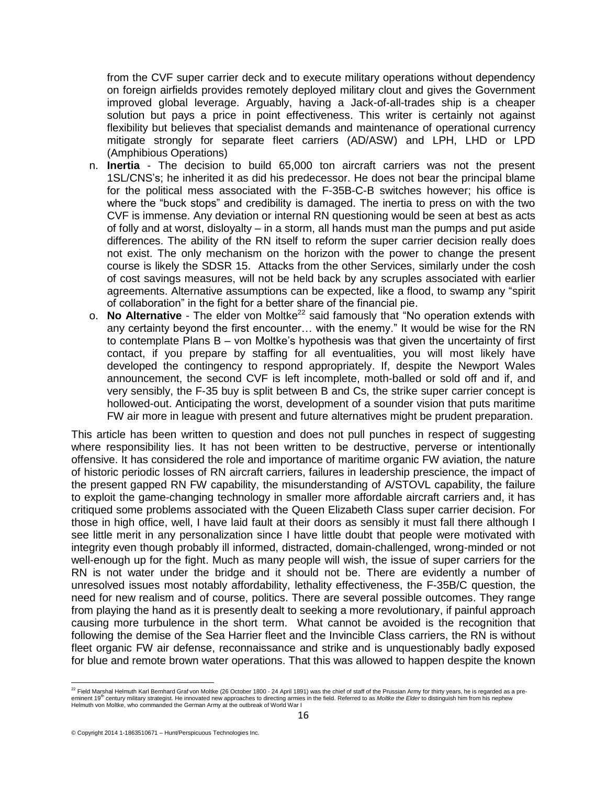from the CVF super carrier deck and to execute military operations without dependency on foreign airfields provides remotely deployed military clout and gives the Government improved global leverage. Arguably, having a Jack-of-all-trades ship is a cheaper solution but pays a price in point effectiveness. This writer is certainly not against flexibility but believes that specialist demands and maintenance of operational currency mitigate strongly for separate fleet carriers (AD/ASW) and LPH, LHD or LPD (Amphibious Operations)

- n. **Inertia** The decision to build 65,000 ton aircraft carriers was not the present 1SL/CNS's; he inherited it as did his predecessor. He does not bear the principal blame for the political mess associated with the F-35B-C-B switches however; his office is where the "buck stops" and credibility is damaged. The inertia to press on with the two CVF is immense. Any deviation or internal RN questioning would be seen at best as acts of folly and at worst, disloyalty – in a storm, all hands must man the pumps and put aside differences. The ability of the RN itself to reform the super carrier decision really does not exist. The only mechanism on the horizon with the power to change the present course is likely the SDSR 15. Attacks from the other Services, similarly under the cosh of cost savings measures, will not be held back by any scruples associated with earlier agreements. Alternative assumptions can be expected, like a flood, to swamp any "spirit of collaboration" in the fight for a better share of the financial pie.
- o. **No Alternative** The elder von Moltke<sup>22</sup> said famously that "No operation extends with any certainty beyond the first encounter… with the enemy." It would be wise for the RN to contemplate Plans B – von Moltke's hypothesis was that given the uncertainty of first contact, if you prepare by staffing for all eventualities, you will most likely have developed the contingency to respond appropriately. If, despite the Newport Wales announcement, the second CVF is left incomplete, moth-balled or sold off and if, and very sensibly, the F-35 buy is split between B and Cs, the strike super carrier concept is hollowed-out. Anticipating the worst, development of a sounder vision that puts maritime FW air more in league with present and future alternatives might be prudent preparation.

This article has been written to question and does not pull punches in respect of suggesting where responsibility lies. It has not been written to be destructive, perverse or intentionally offensive. It has considered the role and importance of maritime organic FW aviation, the nature of historic periodic losses of RN aircraft carriers, failures in leadership prescience, the impact of the present gapped RN FW capability, the misunderstanding of A/STOVL capability, the failure to exploit the game-changing technology in smaller more affordable aircraft carriers and, it has critiqued some problems associated with the Queen Elizabeth Class super carrier decision. For those in high office, well, I have laid fault at their doors as sensibly it must fall there although I see little merit in any personalization since I have little doubt that people were motivated with integrity even though probably ill informed, distracted, domain-challenged, wrong-minded or not well-enough up for the fight. Much as many people will wish, the issue of super carriers for the RN is not water under the bridge and it should not be. There are evidently a number of unresolved issues most notably affordability, lethality effectiveness, the F-35B/C question, the need for new realism and of course, politics. There are several possible outcomes. They range from playing the hand as it is presently dealt to seeking a more revolutionary, if painful approach causing more turbulence in the short term. What cannot be avoided is the recognition that following the demise of the Sea Harrier fleet and the Invincible Class carriers, the RN is without fleet organic FW air defense, reconnaissance and strike and is unquestionably badly exposed for blue and remote brown water operations. That this was allowed to happen despite the known

 <sup>22</sup> [Field Marshal](http://en.wikipedia.org/wiki/Generalfeldmarschall) Helmuth Karl Bernhard Graf von Moltke (26 October 1800 - 24 April 1891) was the chief of staff of th[e Prussian Army](http://en.wikipedia.org/wiki/Prussian_Army) for thirty years, he is regarded as a preeminent 19<sup>th</sup> century military strategist. He innovated new approaches to directing armies in the field. Referred to as *Moltke the Elder* to distinguish him from his nephew<br>[Helmuth von Moltke,](http://en.wikipedia.org/wiki/Helmuth_von_Moltke_the_Younger) who commanded the German Ar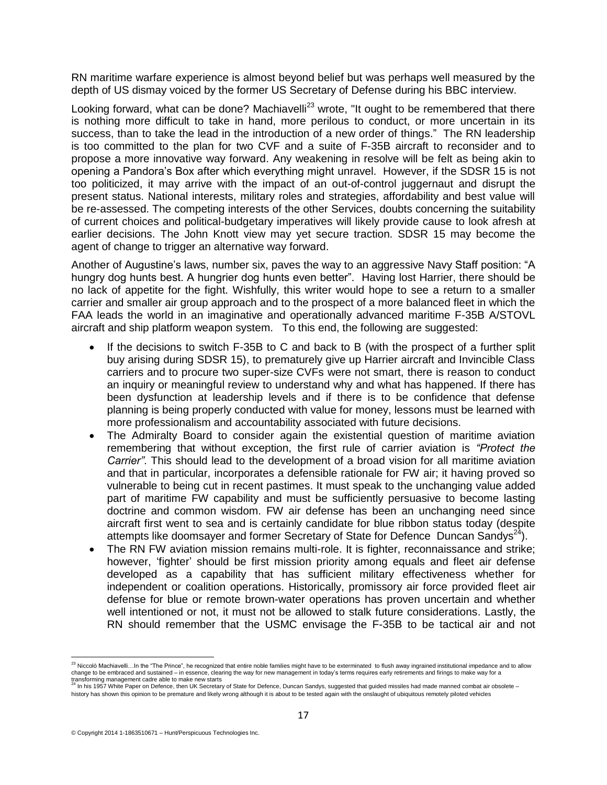RN maritime warfare experience is almost beyond belief but was perhaps well measured by the depth of US dismay voiced by the former US Secretary of Defense during his BBC interview.

Looking forward, what can be done? Machiavelli<sup>23</sup> wrote, "It ought to be remembered that there is nothing more difficult to take in hand, more perilous to conduct, or more uncertain in its success, than to take the lead in the introduction of a new order of things." The RN leadership is too committed to the plan for two CVF and a suite of F-35B aircraft to reconsider and to propose a more innovative way forward. Any weakening in resolve will be felt as being akin to opening a Pandora's Box after which everything might unravel. However, if the SDSR 15 is not too politicized, it may arrive with the impact of an out-of-control juggernaut and disrupt the present status. National interests, military roles and strategies, affordability and best value will be re-assessed. The competing interests of the other Services, doubts concerning the suitability of current choices and political-budgetary imperatives will likely provide cause to look afresh at earlier decisions. The John Knott view may yet secure traction. SDSR 15 may become the agent of change to trigger an alternative way forward.

Another of Augustine's laws, number six, paves the way to an aggressive Navy Staff position: "A hungry dog hunts best. A hungrier dog hunts even better". Having lost Harrier, there should be no lack of appetite for the fight. Wishfully, this writer would hope to see a return to a smaller carrier and smaller air group approach and to the prospect of a more balanced fleet in which the FAA leads the world in an imaginative and operationally advanced maritime F-35B A/STOVL aircraft and ship platform weapon system. To this end, the following are suggested:

- If the decisions to switch F-35B to C and back to B (with the prospect of a further split buy arising during SDSR 15), to prematurely give up Harrier aircraft and Invincible Class carriers and to procure two super-size CVFs were not smart, there is reason to conduct an inquiry or meaningful review to understand why and what has happened. If there has been dysfunction at leadership levels and if there is to be confidence that defense planning is being properly conducted with value for money, lessons must be learned with more professionalism and accountability associated with future decisions.
- The Admiralty Board to consider again the existential question of maritime aviation remembering that without exception, the first rule of carrier aviation is *"Protect the Carrier"*. This should lead to the development of a broad vision for all maritime aviation and that in particular, incorporates a defensible rationale for FW air; it having proved so vulnerable to being cut in recent pastimes. It must speak to the unchanging value added part of maritime FW capability and must be sufficiently persuasive to become lasting doctrine and common wisdom. FW air defense has been an unchanging need since aircraft first went to sea and is certainly candidate for blue ribbon status today (despite attempts like doomsayer and former Secretary of State for Defence Duncan Sandys $^{24}$ ).
- The RN FW aviation mission remains multi-role. It is fighter, reconnaissance and strike; however, 'fighter' should be first mission priority among equals and fleet air defense developed as a capability that has sufficient military effectiveness whether for independent or coalition operations. Historically, promissory air force provided fleet air defense for blue or remote brown-water operations has proven uncertain and whether well intentioned or not, it must not be allowed to stalk future considerations. Lastly, the RN should remember that the USMC envisage the F-35B to be tactical air and not

<sup>&</sup>lt;sup>23</sup> Niccolò Machiavelli…In the "The Prince", he recognized that entire noble families might have to be exterminated to flush away ingrained institutional impedance and to allow<br>change to be embraced and sustained – in ess transforming management cadre able to make new starts

<sup>24</sup> In his 1957 White Paper on Defence, then UK Secretary of State for Defence, Duncan Sandys, suggested that guided missiles had made manned combat air obsolete – history has shown this opinion to be premature and likely wrong although it is about to be tested again with the onslaught of ubiquitous remotely piloted vehicles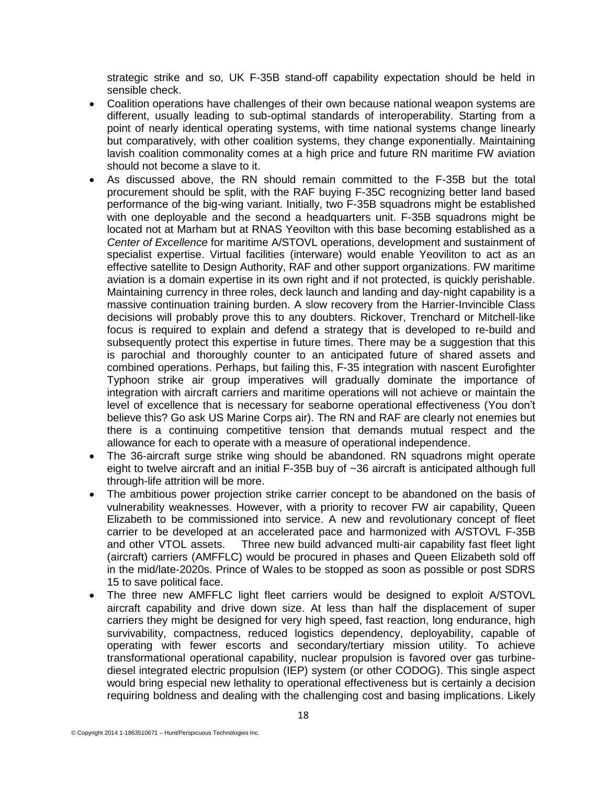strategic strike and so, UK F-35B stand-off capability expectation should be held in sensible check.

- Coalition operations have challenges of their own because national weapon systems are different, usually leading to sub-optimal standards of interoperability. Starting from a point of nearly identical operating systems, with time national systems change linearly but comparatively, with other coalition systems, they change exponentially. Maintaining lavish coalition commonality comes at a high price and future RN maritime FW aviation should not become a slave to it.
- As discussed above, the RN should remain committed to the F-35B but the total procurement should be split, with the RAF buying F-35C recognizing better land based performance of the big-wing variant. Initially, two F-35B squadrons might be established with one deployable and the second a headquarters unit. F-35B squadrons might be located not at Marham but at RNAS Yeovilton with this base becoming established as a *Center of Excellence* for maritime A/STOVL operations, development and sustainment of specialist expertise. Virtual facilities (interware) would enable Yeoviliton to act as an effective satellite to Design Authority, RAF and other support organizations. FW maritime aviation is a domain expertise in its own right and if not protected, is quickly perishable. Maintaining currency in three roles, deck launch and landing and day-night capability is a massive continuation training burden. A slow recovery from the Harrier-Invincible Class decisions will probably prove this to any doubters. Rickover, Trenchard or Mitchell-like focus is required to explain and defend a strategy that is developed to re-build and subsequently protect this expertise in future times. There may be a suggestion that this is parochial and thoroughly counter to an anticipated future of shared assets and combined operations. Perhaps, but failing this, F-35 integration with nascent Eurofighter Typhoon strike air group imperatives will gradually dominate the importance of integration with aircraft carriers and maritime operations will not achieve or maintain the level of excellence that is necessary for seaborne operational effectiveness (You don't believe this? Go ask US Marine Corps air). The RN and RAF are clearly not enemies but there is a continuing competitive tension that demands mutual respect and the allowance for each to operate with a measure of operational independence.
- The 36-aircraft surge strike wing should be abandoned. RN squadrons might operate eight to twelve aircraft and an initial F-35B buy of ~36 aircraft is anticipated although full through-life attrition will be more.
- The ambitious power projection strike carrier concept to be abandoned on the basis of vulnerability weaknesses. However, with a priority to recover FW air capability, Queen Elizabeth to be commissioned into service. A new and revolutionary concept of fleet carrier to be developed at an accelerated pace and harmonized with A/STOVL F-35B and other VTOL assets. Three new build advanced multi-air capability fast fleet light (aircraft) carriers (AMFFLC) would be procured in phases and Queen Elizabeth sold off in the mid/late-2020s. Prince of Wales to be stopped as soon as possible or post SDRS 15 to save political face.
- The three new AMFFLC light fleet carriers would be designed to exploit A/STOVL aircraft capability and drive down size. At less than half the displacement of super carriers they might be designed for very high speed, fast reaction, long endurance, high survivability, compactness, reduced logistics dependency, deployability, capable of operating with fewer escorts and secondary/tertiary mission utility. To achieve transformational operational capability, nuclear propulsion is favored over gas turbinediesel integrated electric propulsion (IEP) system (or other CODOG). This single aspect would bring especial new lethality to operational effectiveness but is certainly a decision requiring boldness and dealing with the challenging cost and basing implications. Likely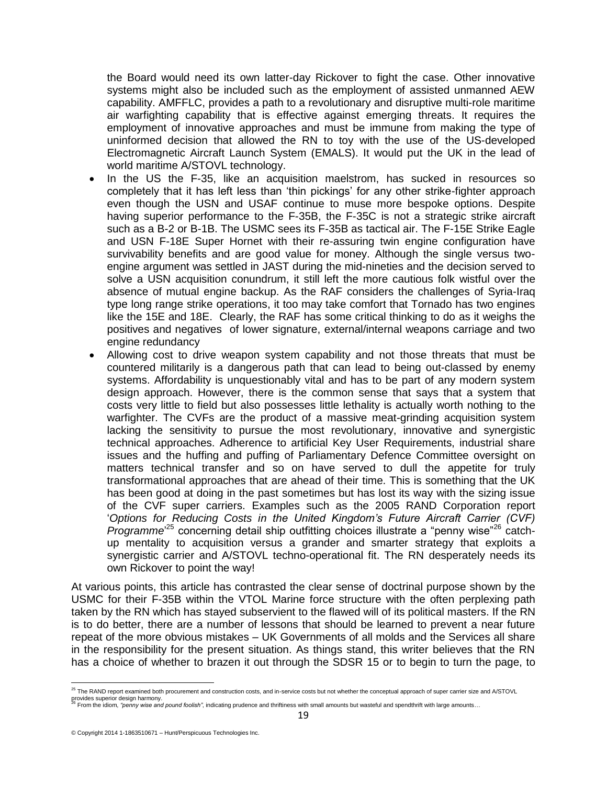the Board would need its own latter-day Rickover to fight the case. Other innovative systems might also be included such as the employment of assisted unmanned AEW capability. AMFFLC, provides a path to a revolutionary and disruptive multi-role maritime air warfighting capability that is effective against emerging threats. It requires the employment of innovative approaches and must be immune from making the type of uninformed decision that allowed the RN to toy with the use of the US-developed Electromagnetic Aircraft Launch System (EMALS). It would put the UK in the lead of world maritime A/STOVL technology.

- In the US the F-35, like an acquisition maelstrom, has sucked in resources so completely that it has left less than 'thin pickings' for any other strike-fighter approach even though the USN and USAF continue to muse more bespoke options. Despite having superior performance to the F-35B, the F-35C is not a strategic strike aircraft such as a B-2 or B-1B. The USMC sees its F-35B as tactical air. The F-15E Strike Eagle and USN F-18E Super Hornet with their re-assuring twin engine configuration have survivability benefits and are good value for money. Although the single versus twoengine argument was settled in JAST during the mid-nineties and the decision served to solve a USN acquisition conundrum, it still left the more cautious folk wistful over the absence of mutual engine backup. As the RAF considers the challenges of Syria-Iraq type long range strike operations, it too may take comfort that Tornado has two engines like the 15E and 18E. Clearly, the RAF has some critical thinking to do as it weighs the positives and negatives of lower signature, external/internal weapons carriage and two engine redundancy
- Allowing cost to drive weapon system capability and not those threats that must be countered militarily is a dangerous path that can lead to being out-classed by enemy systems. Affordability is unquestionably vital and has to be part of any modern system design approach. However, there is the common sense that says that a system that costs very little to field but also possesses little lethality is actually worth nothing to the warfighter. The CVFs are the product of a massive meat-grinding acquisition system lacking the sensitivity to pursue the most revolutionary, innovative and synergistic technical approaches. Adherence to artificial Key User Requirements, industrial share issues and the huffing and puffing of Parliamentary Defence Committee oversight on matters technical transfer and so on have served to dull the appetite for truly transformational approaches that are ahead of their time. This is something that the UK has been good at doing in the past sometimes but has lost its way with the sizing issue of the CVF super carriers. Examples such as the 2005 RAND Corporation report '*Options for Reducing Costs in the United Kingdom's Future Aircraft Carrier (CVF)*  Programme<sup>25</sup> concerning detail ship outfitting choices illustrate a "penny wise"<sup>26</sup> catchup mentality to acquisition versus a grander and smarter strategy that exploits a synergistic carrier and A/STOVL techno-operational fit. The RN desperately needs its own Rickover to point the way!

At various points, this article has contrasted the clear sense of doctrinal purpose shown by the USMC for their F-35B within the VTOL Marine force structure with the often perplexing path taken by the RN which has stayed subservient to the flawed will of its political masters. If the RN is to do better, there are a number of lessons that should be learned to prevent a near future repeat of the more obvious mistakes – UK Governments of all molds and the Services all share in the responsibility for the present situation. As things stand, this writer believes that the RN has a choice of whether to brazen it out through the SDSR 15 or to begin to turn the page, to

 <sup>25</sup> The RAND report examined both procurement and construction costs, and in-service costs but not whether the conceptual approach of super carrier size and A/STOVL

provides superior design harmony.<br><sup>26</sup> From the idiom, *"penny wise and pound foolish"*, indicating prudence and thriftiness with small amounts but wasteful and spendthrift with large amounts…